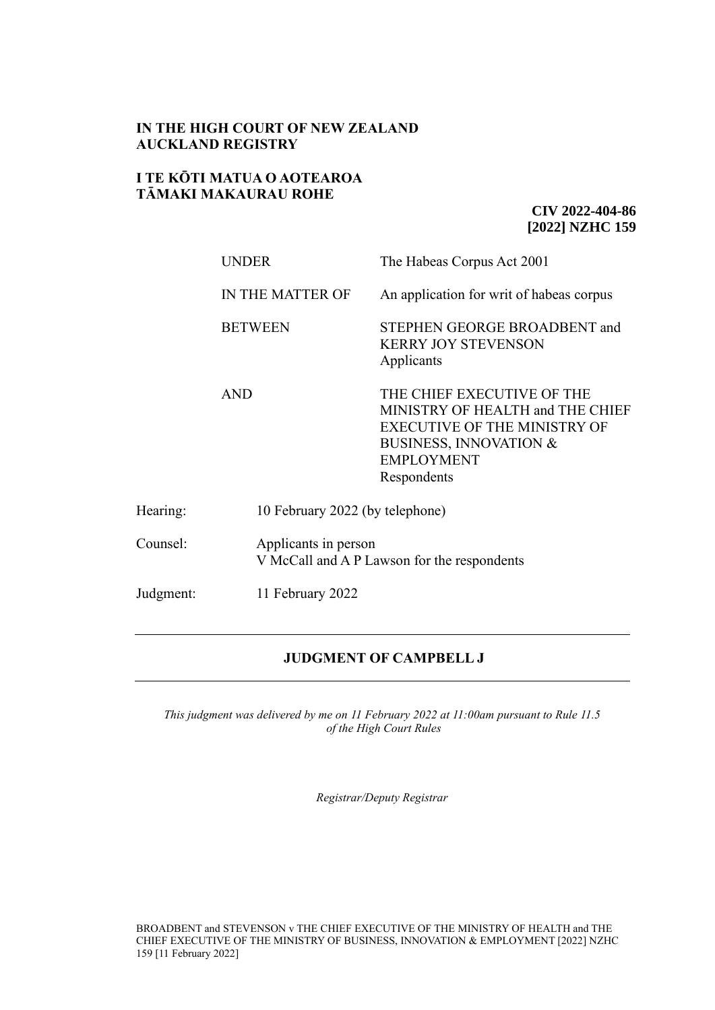# **IN THE HIGH COURT OF NEW ZEALAND AUCKLAND REGISTRY**

## **I TE KŌTI MATUA O AOTEAROA TĀMAKI MAKAURAU ROHE**

**CIV 2022-404-86 [2022] NZHC 159**

|           | <b>UNDER</b>     | The Habeas Corpus Act 2001                                                                                                                                                     |  |
|-----------|------------------|--------------------------------------------------------------------------------------------------------------------------------------------------------------------------------|--|
|           | IN THE MATTER OF | An application for writ of habeas corpus                                                                                                                                       |  |
|           | <b>BETWEEN</b>   | STEPHEN GEORGE BROADBENT and<br><b>KERRY JOY STEVENSON</b><br>Applicants                                                                                                       |  |
|           | <b>AND</b>       | THE CHIEF EXECUTIVE OF THE<br>MINISTRY OF HEALTH and THE CHIEF<br><b>EXECUTIVE OF THE MINISTRY OF</b><br><b>BUSINESS, INNOVATION &amp;</b><br><b>EMPLOYMENT</b><br>Respondents |  |
| Hearing:  |                  | 10 February 2022 (by telephone)                                                                                                                                                |  |
| Counsel:  |                  | Applicants in person<br>V McCall and A P Lawson for the respondents                                                                                                            |  |
| Judgment: | 11 February 2022 |                                                                                                                                                                                |  |

## **JUDGMENT OF CAMPBELL J**

*This judgment was delivered by me on 11 February 2022 at 11:00am pursuant to Rule 11.5 of the High Court Rules*

*Registrar/Deputy Registrar*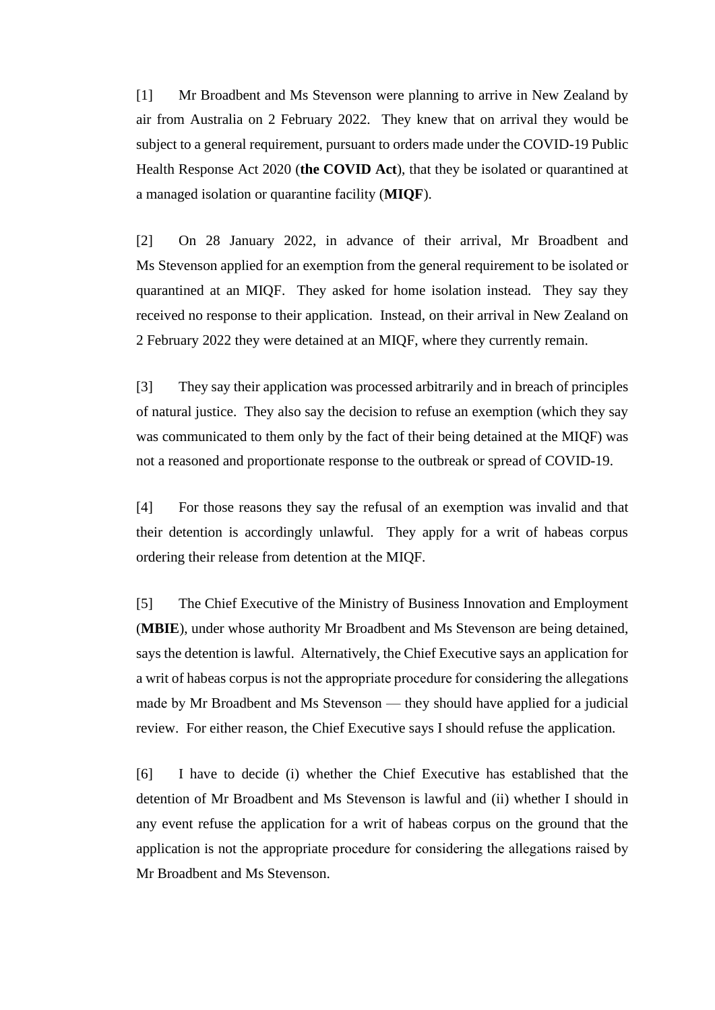[1] Mr Broadbent and Ms Stevenson were planning to arrive in New Zealand by air from Australia on 2 February 2022. They knew that on arrival they would be subject to a general requirement, pursuant to orders made under the COVID-19 Public Health Response Act 2020 (**the COVID Act**), that they be isolated or quarantined at a managed isolation or quarantine facility (**MIQF**).

[2] On 28 January 2022, in advance of their arrival, Mr Broadbent and Ms Stevenson applied for an exemption from the general requirement to be isolated or quarantined at an MIQF. They asked for home isolation instead. They say they received no response to their application. Instead, on their arrival in New Zealand on 2 February 2022 they were detained at an MIQF, where they currently remain.

[3] They say their application was processed arbitrarily and in breach of principles of natural justice. They also say the decision to refuse an exemption (which they say was communicated to them only by the fact of their being detained at the MIQF) was not a reasoned and proportionate response to the outbreak or spread of COVID-19.

[4] For those reasons they say the refusal of an exemption was invalid and that their detention is accordingly unlawful. They apply for a writ of habeas corpus ordering their release from detention at the MIQF.

[5] The Chief Executive of the Ministry of Business Innovation and Employment (**MBIE**), under whose authority Mr Broadbent and Ms Stevenson are being detained, says the detention is lawful. Alternatively, the Chief Executive says an application for a writ of habeas corpus is not the appropriate procedure for considering the allegations made by Mr Broadbent and Ms Stevenson — they should have applied for a judicial review. For either reason, the Chief Executive says I should refuse the application.

[6] I have to decide (i) whether the Chief Executive has established that the detention of Mr Broadbent and Ms Stevenson is lawful and (ii) whether I should in any event refuse the application for a writ of habeas corpus on the ground that the application is not the appropriate procedure for considering the allegations raised by Mr Broadbent and Ms Stevenson.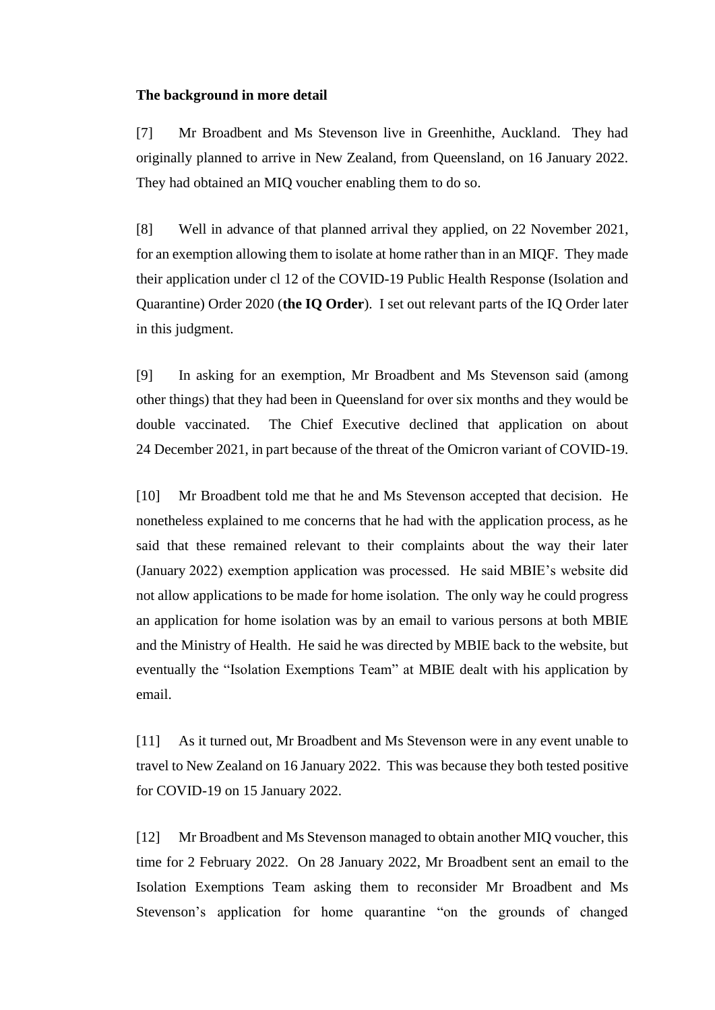#### **The background in more detail**

[7] Mr Broadbent and Ms Stevenson live in Greenhithe, Auckland. They had originally planned to arrive in New Zealand, from Queensland, on 16 January 2022. They had obtained an MIQ voucher enabling them to do so.

[8] Well in advance of that planned arrival they applied, on 22 November 2021, for an exemption allowing them to isolate at home rather than in an MIQF. They made their application under cl 12 of the COVID-19 Public Health Response (Isolation and Quarantine) Order 2020 (**the IQ Order**). I set out relevant parts of the IQ Order later in this judgment.

[9] In asking for an exemption, Mr Broadbent and Ms Stevenson said (among other things) that they had been in Queensland for over six months and they would be double vaccinated. The Chief Executive declined that application on about 24 December 2021, in part because of the threat of the Omicron variant of COVID-19.

[10] Mr Broadbent told me that he and Ms Stevenson accepted that decision. He nonetheless explained to me concerns that he had with the application process, as he said that these remained relevant to their complaints about the way their later (January 2022) exemption application was processed. He said MBIE's website did not allow applications to be made for home isolation. The only way he could progress an application for home isolation was by an email to various persons at both MBIE and the Ministry of Health. He said he was directed by MBIE back to the website, but eventually the "Isolation Exemptions Team" at MBIE dealt with his application by email.

[11] As it turned out, Mr Broadbent and Ms Stevenson were in any event unable to travel to New Zealand on 16 January 2022. This was because they both tested positive for COVID-19 on 15 January 2022.

[12] Mr Broadbent and Ms Stevenson managed to obtain another MIQ voucher, this time for 2 February 2022. On 28 January 2022, Mr Broadbent sent an email to the Isolation Exemptions Team asking them to reconsider Mr Broadbent and Ms Stevenson's application for home quarantine "on the grounds of changed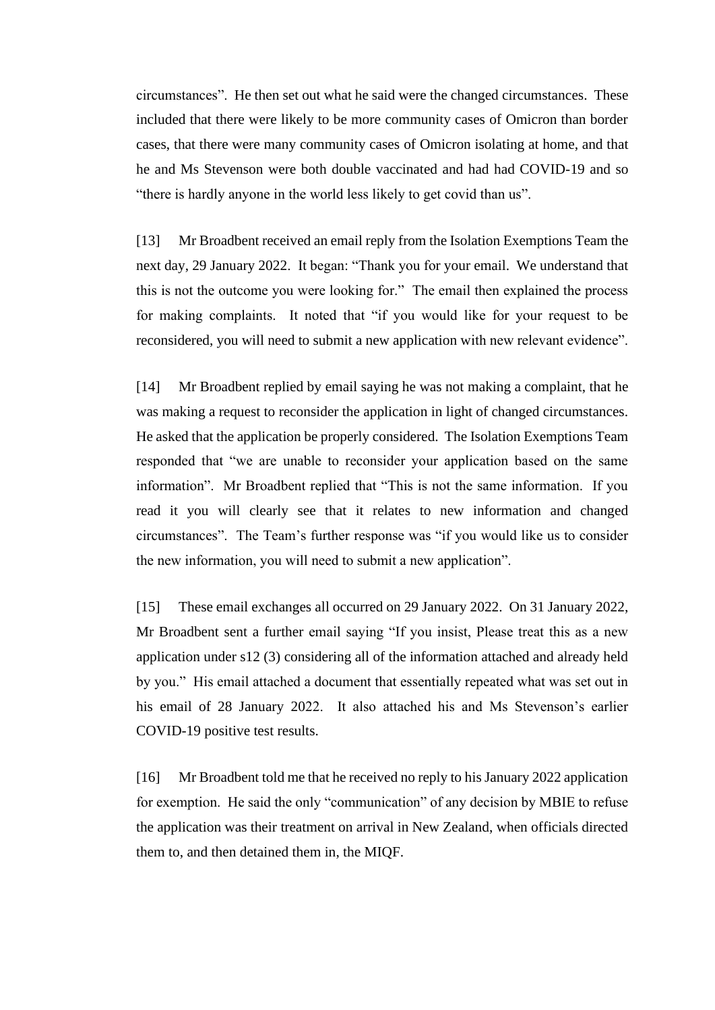circumstances". He then set out what he said were the changed circumstances. These included that there were likely to be more community cases of Omicron than border cases, that there were many community cases of Omicron isolating at home, and that he and Ms Stevenson were both double vaccinated and had had COVID-19 and so "there is hardly anyone in the world less likely to get covid than us".

[13] Mr Broadbent received an email reply from the Isolation Exemptions Team the next day, 29 January 2022. It began: "Thank you for your email. We understand that this is not the outcome you were looking for." The email then explained the process for making complaints. It noted that "if you would like for your request to be reconsidered, you will need to submit a new application with new relevant evidence".

[14] Mr Broadbent replied by email saying he was not making a complaint, that he was making a request to reconsider the application in light of changed circumstances. He asked that the application be properly considered. The Isolation Exemptions Team responded that "we are unable to reconsider your application based on the same information". Mr Broadbent replied that "This is not the same information. If you read it you will clearly see that it relates to new information and changed circumstances". The Team's further response was "if you would like us to consider the new information, you will need to submit a new application".

[15] These email exchanges all occurred on 29 January 2022. On 31 January 2022, Mr Broadbent sent a further email saying "If you insist, Please treat this as a new application under s12 (3) considering all of the information attached and already held by you." His email attached a document that essentially repeated what was set out in his email of 28 January 2022. It also attached his and Ms Stevenson's earlier COVID-19 positive test results.

[16] Mr Broadbent told me that he received no reply to his January 2022 application for exemption. He said the only "communication" of any decision by MBIE to refuse the application was their treatment on arrival in New Zealand, when officials directed them to, and then detained them in, the MIQF.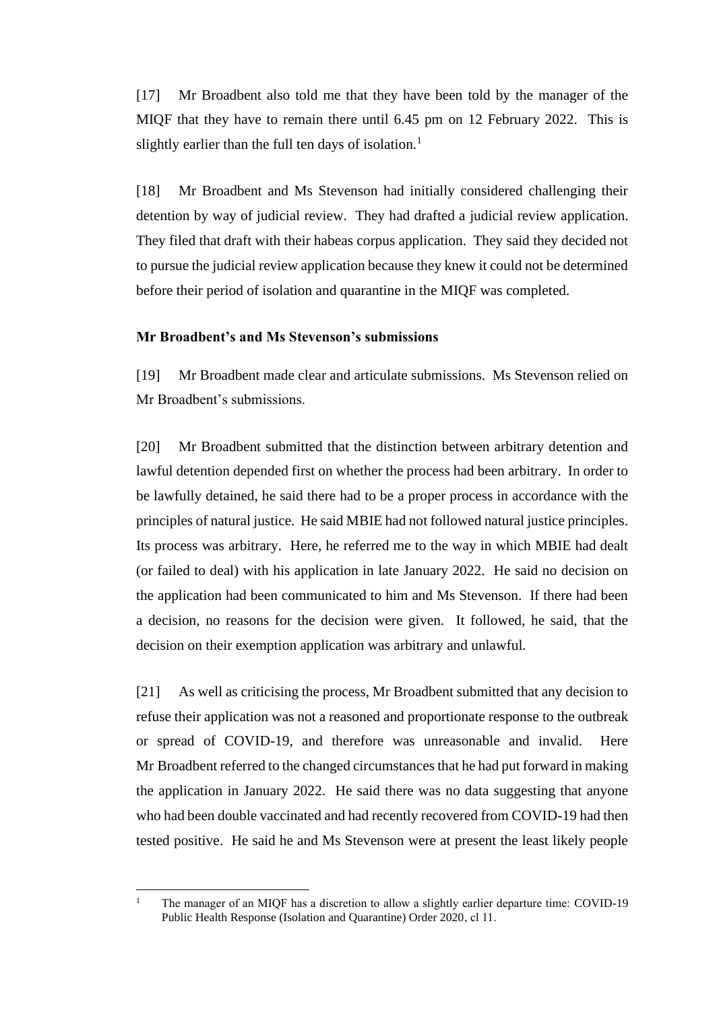[17] Mr Broadbent also told me that they have been told by the manager of the MIQF that they have to remain there until 6.45 pm on 12 February 2022. This is slightly earlier than the full ten days of isolation.<sup>1</sup>

[18] Mr Broadbent and Ms Stevenson had initially considered challenging their detention by way of judicial review. They had drafted a judicial review application. They filed that draft with their habeas corpus application. They said they decided not to pursue the judicial review application because they knew it could not be determined before their period of isolation and quarantine in the MIQF was completed.

## **Mr Broadbent's and Ms Stevenson's submissions**

[19] Mr Broadbent made clear and articulate submissions. Ms Stevenson relied on Mr Broadbent's submissions.

[20] Mr Broadbent submitted that the distinction between arbitrary detention and lawful detention depended first on whether the process had been arbitrary. In order to be lawfully detained, he said there had to be a proper process in accordance with the principles of natural justice. He said MBIE had not followed natural justice principles. Its process was arbitrary. Here, he referred me to the way in which MBIE had dealt (or failed to deal) with his application in late January 2022. He said no decision on the application had been communicated to him and Ms Stevenson. If there had been a decision, no reasons for the decision were given. It followed, he said, that the decision on their exemption application was arbitrary and unlawful.

[21] As well as criticising the process, Mr Broadbent submitted that any decision to refuse their application was not a reasoned and proportionate response to the outbreak or spread of COVID-19, and therefore was unreasonable and invalid. Here Mr Broadbent referred to the changed circumstances that he had put forward in making the application in January 2022. He said there was no data suggesting that anyone who had been double vaccinated and had recently recovered from COVID-19 had then tested positive. He said he and Ms Stevenson were at present the least likely people

<sup>&</sup>lt;sup>1</sup> The manager of an MIQF has a discretion to allow a slightly earlier departure time: COVID-19 Public Health Response (Isolation and Quarantine) Order 2020, cl 11.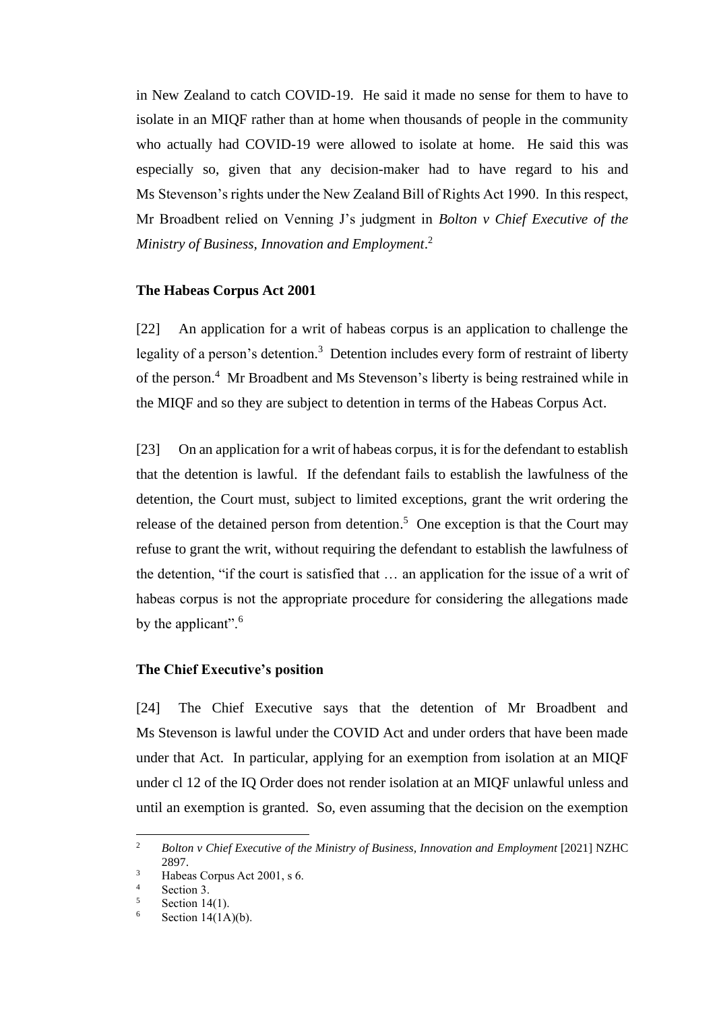in New Zealand to catch COVID-19. He said it made no sense for them to have to isolate in an MIQF rather than at home when thousands of people in the community who actually had COVID-19 were allowed to isolate at home. He said this was especially so, given that any decision-maker had to have regard to his and Ms Stevenson's rights under the New Zealand Bill of Rights Act 1990. In this respect, Mr Broadbent relied on Venning J's judgment in *Bolton v Chief Executive of the Ministry of Business, Innovation and Employment*. 2

#### **The Habeas Corpus Act 2001**

[22] An application for a writ of habeas corpus is an application to challenge the legality of a person's detention.<sup>3</sup> Detention includes every form of restraint of liberty of the person. <sup>4</sup> Mr Broadbent and Ms Stevenson's liberty is being restrained while in the MIQF and so they are subject to detention in terms of the Habeas Corpus Act.

[23] On an application for a writ of habeas corpus, it is for the defendant to establish that the detention is lawful. If the defendant fails to establish the lawfulness of the detention, the Court must, subject to limited exceptions, grant the writ ordering the release of the detained person from detention.<sup>5</sup> One exception is that the Court may refuse to grant the writ, without requiring the defendant to establish the lawfulness of the detention, "if the court is satisfied that … an application for the issue of a writ of habeas corpus is not the appropriate procedure for considering the allegations made by the applicant".<sup>6</sup>

#### **The Chief Executive's position**

[24] The Chief Executive says that the detention of Mr Broadbent and Ms Stevenson is lawful under the COVID Act and under orders that have been made under that Act. In particular, applying for an exemption from isolation at an MIQF under cl 12 of the IQ Order does not render isolation at an MIQF unlawful unless and until an exemption is granted. So, even assuming that the decision on the exemption

<sup>&</sup>lt;sup>2</sup> *Bolton v Chief Executive of the Ministry of Business, Innovation and Employment* [2021] NZHC 2897.

<sup>3</sup> Habeas Corpus Act 2001, s 6.

 $\frac{4}{5}$  Section 3.

Section 14(1).

Section  $14(1A)(b)$ .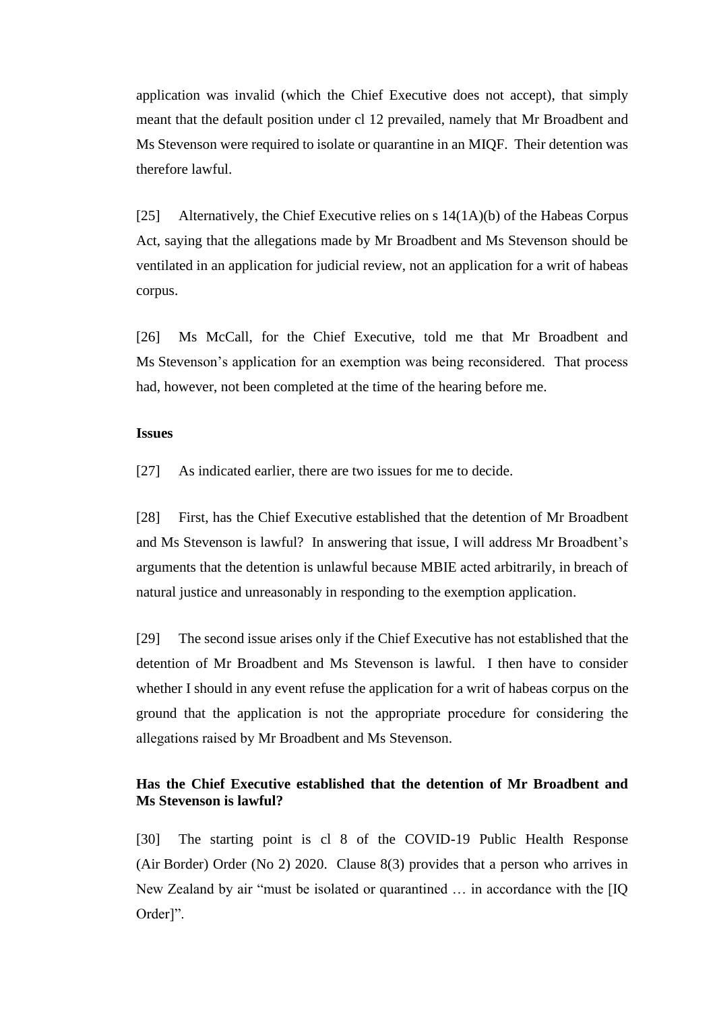application was invalid (which the Chief Executive does not accept), that simply meant that the default position under cl 12 prevailed, namely that Mr Broadbent and Ms Stevenson were required to isolate or quarantine in an MIQF. Their detention was therefore lawful.

[25] Alternatively, the Chief Executive relies on s 14(1A)(b) of the Habeas Corpus Act, saying that the allegations made by Mr Broadbent and Ms Stevenson should be ventilated in an application for judicial review, not an application for a writ of habeas corpus.

[26] Ms McCall, for the Chief Executive, told me that Mr Broadbent and Ms Stevenson's application for an exemption was being reconsidered. That process had, however, not been completed at the time of the hearing before me.

#### **Issues**

[27] As indicated earlier, there are two issues for me to decide.

[28] First, has the Chief Executive established that the detention of Mr Broadbent and Ms Stevenson is lawful? In answering that issue, I will address Mr Broadbent's arguments that the detention is unlawful because MBIE acted arbitrarily, in breach of natural justice and unreasonably in responding to the exemption application.

[29] The second issue arises only if the Chief Executive has not established that the detention of Mr Broadbent and Ms Stevenson is lawful. I then have to consider whether I should in any event refuse the application for a writ of habeas corpus on the ground that the application is not the appropriate procedure for considering the allegations raised by Mr Broadbent and Ms Stevenson.

# **Has the Chief Executive established that the detention of Mr Broadbent and Ms Stevenson is lawful?**

[30] The starting point is cl 8 of the COVID-19 Public Health Response (Air Border) Order (No 2) 2020. Clause 8(3) provides that a person who arrives in New Zealand by air "must be isolated or quarantined … in accordance with the [IQ Order]".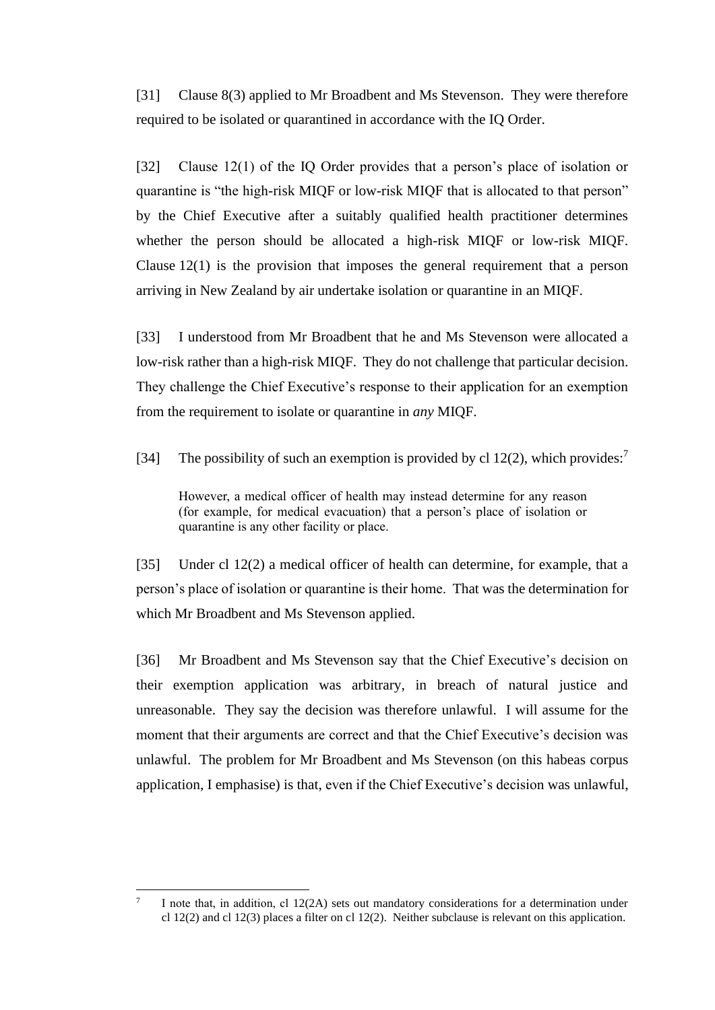[31] Clause 8(3) applied to Mr Broadbent and Ms Stevenson. They were therefore required to be isolated or quarantined in accordance with the IQ Order.

[32] Clause 12(1) of the IQ Order provides that a person's place of isolation or quarantine is "the high-risk MIQF or low-risk MIQF that is allocated to that person" by the Chief Executive after a suitably qualified health practitioner determines whether the person should be allocated a high-risk MIQF or low-risk MIQF. Clause 12(1) is the provision that imposes the general requirement that a person arriving in New Zealand by air undertake isolation or quarantine in an MIQF.

[33] I understood from Mr Broadbent that he and Ms Stevenson were allocated a low-risk rather than a high-risk MIQF. They do not challenge that particular decision. They challenge the Chief Executive's response to their application for an exemption from the requirement to isolate or quarantine in *any* MIQF.

[34] The possibility of such an exemption is provided by cl 12(2), which provides:<sup>7</sup>

However, a medical officer of health may instead determine for any reason (for example, for medical evacuation) that a person's place of isolation or quarantine is any other facility or place.

[35] Under cl 12(2) a medical officer of health can determine, for example, that a person's place of isolation or quarantine is their home. That was the determination for which Mr Broadbent and Ms Stevenson applied.

[36] Mr Broadbent and Ms Stevenson say that the Chief Executive's decision on their exemption application was arbitrary, in breach of natural justice and unreasonable. They say the decision was therefore unlawful. I will assume for the moment that their arguments are correct and that the Chief Executive's decision was unlawful. The problem for Mr Broadbent and Ms Stevenson (on this habeas corpus application, I emphasise) is that, even if the Chief Executive's decision was unlawful,

<sup>7</sup> I note that, in addition, cl 12(2A) sets out mandatory considerations for a determination under cl 12(2) and cl 12(3) places a filter on cl 12(2). Neither subclause is relevant on this application.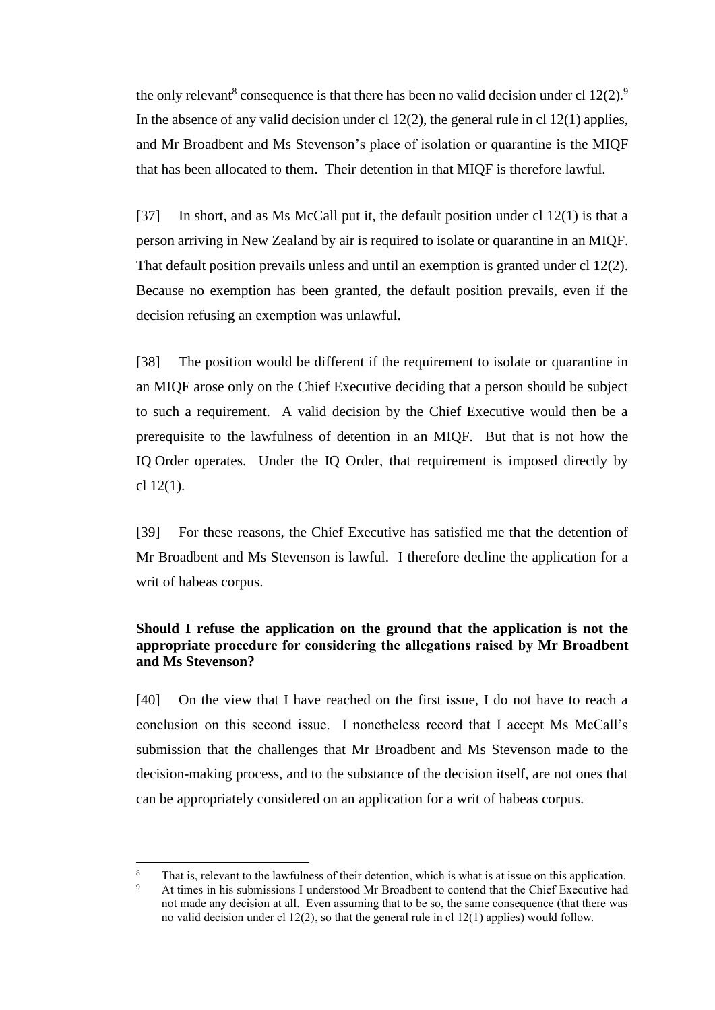the only relevant<sup>8</sup> consequence is that there has been no valid decision under cl  $12(2)$ .<sup>9</sup> In the absence of any valid decision under cl  $12(2)$ , the general rule in cl  $12(1)$  applies, and Mr Broadbent and Ms Stevenson's place of isolation or quarantine is the MIQF that has been allocated to them. Their detention in that MIQF is therefore lawful.

[37] In short, and as Ms McCall put it, the default position under cl 12(1) is that a person arriving in New Zealand by air is required to isolate or quarantine in an MIQF. That default position prevails unless and until an exemption is granted under cl 12(2). Because no exemption has been granted, the default position prevails, even if the decision refusing an exemption was unlawful.

[38] The position would be different if the requirement to isolate or quarantine in an MIQF arose only on the Chief Executive deciding that a person should be subject to such a requirement. A valid decision by the Chief Executive would then be a prerequisite to the lawfulness of detention in an MIQF. But that is not how the IQ Order operates. Under the IQ Order, that requirement is imposed directly by cl 12(1).

[39] For these reasons, the Chief Executive has satisfied me that the detention of Mr Broadbent and Ms Stevenson is lawful. I therefore decline the application for a writ of habeas corpus.

## **Should I refuse the application on the ground that the application is not the appropriate procedure for considering the allegations raised by Mr Broadbent and Ms Stevenson?**

[40] On the view that I have reached on the first issue, I do not have to reach a conclusion on this second issue. I nonetheless record that I accept Ms McCall's submission that the challenges that Mr Broadbent and Ms Stevenson made to the decision-making process, and to the substance of the decision itself, are not ones that can be appropriately considered on an application for a writ of habeas corpus.

That is, relevant to the lawfulness of their detention, which is what is at issue on this application.

<sup>9</sup> At times in his submissions I understood Mr Broadbent to contend that the Chief Executive had not made any decision at all. Even assuming that to be so, the same consequence (that there was no valid decision under cl 12(2), so that the general rule in cl 12(1) applies) would follow.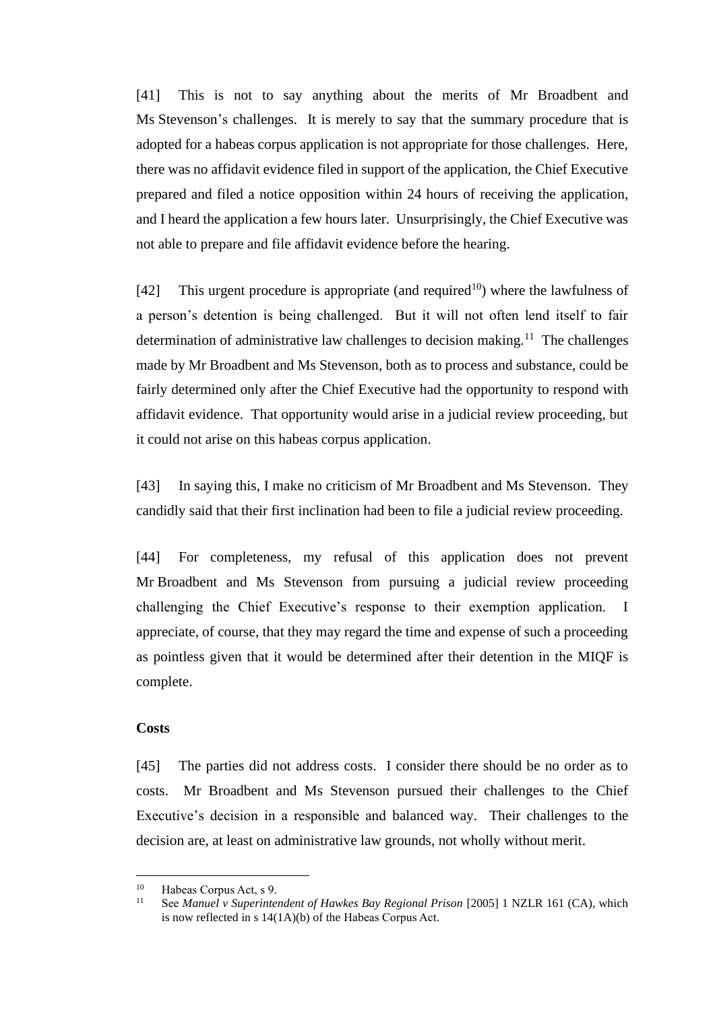[41] This is not to say anything about the merits of Mr Broadbent and Ms Stevenson's challenges. It is merely to say that the summary procedure that is adopted for a habeas corpus application is not appropriate for those challenges. Here, there was no affidavit evidence filed in support of the application, the Chief Executive prepared and filed a notice opposition within 24 hours of receiving the application, and I heard the application a few hours later. Unsurprisingly, the Chief Executive was not able to prepare and file affidavit evidence before the hearing.

[42] This urgent procedure is appropriate (and required<sup>10</sup>) where the lawfulness of a person's detention is being challenged. But it will not often lend itself to fair determination of administrative law challenges to decision making.<sup>11</sup> The challenges made by Mr Broadbent and Ms Stevenson, both as to process and substance, could be fairly determined only after the Chief Executive had the opportunity to respond with affidavit evidence. That opportunity would arise in a judicial review proceeding, but it could not arise on this habeas corpus application.

[43] In saying this, I make no criticism of Mr Broadbent and Ms Stevenson. They candidly said that their first inclination had been to file a judicial review proceeding.

[44] For completeness, my refusal of this application does not prevent Mr Broadbent and Ms Stevenson from pursuing a judicial review proceeding challenging the Chief Executive's response to their exemption application. I appreciate, of course, that they may regard the time and expense of such a proceeding as pointless given that it would be determined after their detention in the MIQF is complete.

## **Costs**

[45] The parties did not address costs. I consider there should be no order as to costs. Mr Broadbent and Ms Stevenson pursued their challenges to the Chief Executive's decision in a responsible and balanced way. Their challenges to the decision are, at least on administrative law grounds, not wholly without merit.

<sup>&</sup>lt;sup>10</sup> Habeas Corpus Act, s 9.<br><sup>11</sup> See Manual u Superinte

<sup>11</sup> See *Manuel v Superintendent of Hawkes Bay Regional Prison* [2005] 1 NZLR 161 (CA), which is now reflected in s 14(1A)(b) of the Habeas Corpus Act.